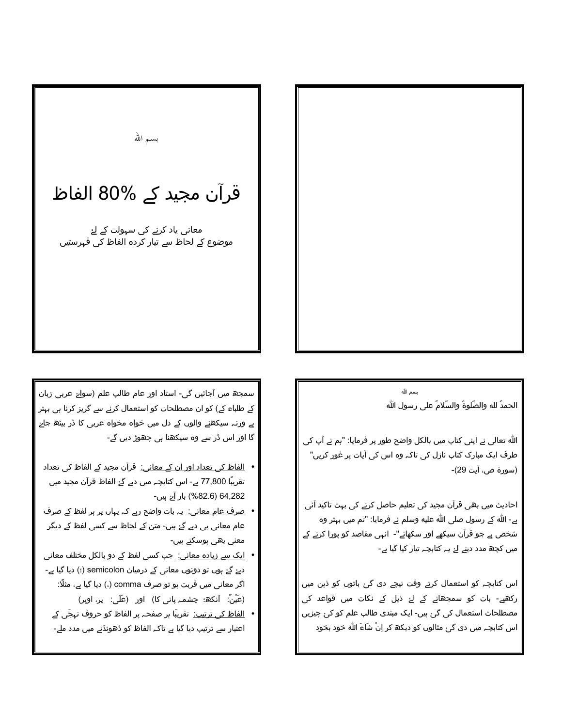

## بسم الله الحمدُ لله والصَّلوةُ والسَّلامُ على رسول الله

الله تعالی نے اپنی کتاب میں بالکل واضح طور پر فرمایا: "ہم نے آپ کی طرف ایک مبارک کتاب نازل کی تاکہ وہ اس کی آیات پر غور کریں" (سورة ص، آيت 29)-

احادیث میں بھی قرآن مجید کی تعلیم حاصل کرنے کی بہت تاکید آئی ہے۔ الله کے رسول صلی الله علیه وسلم نے فرمایا: "تم میں بہتر وہ شخص ہے جو قرآن سیکهے اور سکهائے"۔ انہی مقاصد کو پورا کرنے کے میں کچھ مدد دینے لۓ یہ کتابچہ تیار کیا گیا ہے-

اس کتابچہ کو استعمال کرتے وقت نیچے دی گئ باتوں کو ذہن میں رکھیے۔ بات کو سمجھانے کے لۓ ذیل کے نکات میں قواعد کی مصطلحات استعمال کی گئ ہیں۔ ایک مبتدی طالب علم کو کئ چیزیں اس کتابچہ میں دی گئ مثالوں کو دیکھ کر اِنْ شَاءَ الله خود بخود

بسم الله

## قرآن مجید کے %80 الفاظ

معانی یاد کرنے کی سہولت کے لۓ موضوع کے لحاظ سے تیار کردہ الفاظ کی فہرستیں

سمجھ میں آجائیں گی۔ استاد اور عام طالب علم (سواۓ عربی زبان کے طلباء کے) کو ان مصطلحات کو استعمال کرنے سے گریز کرنا ہی بہتر ہے ورنہ سیکھنے والوں کے دل میں خواہ مخواہ عربی کا ڈر بیٹھ جاۓ گا اور اس ڈر سے وہ سیکھنا ہی چھوڑ دیں گے۔

- <u>الفاظ کی تعداد اور ان کے معانی:</u> قرآن مجید کے الفاظ کی تعداد تقریبًا 77,800 ہے۔ اس کتابچہ میں دیے گۓ الفاظ قرآن مجید میں 64,282 (82.6%) بار آۓ ہیں۔
- <u>صرف عام معانی:</u> یہ بات واضح رہے کہ یہاں پر ہر لفظ کے صرف عام معانی ہی دیے گۓ ہیں۔ متن کے لحاظ سے کسی لفظ کے دیگر معنی بھی ہوسکتے ہیں۔
- <u>ایک سے زیادہ معانی:</u> جب کسی لفظ کے دو بالکل مختلف معانی دیۓ گۓ ہوں تو دونوں معانی کے درمیان semicolon (؛) دیا گیا ہے۔ اگر معانی میں قربت ہو تو صرف comma (،) دیا گیا ہے، مثلًا: (عَیْنٌ: آنکھ؛ چشمہ پانی کا) اور (عَلَی: پر، اوپر)
	- <u>الفاظ کی ترتیب:</u> تقریبًا ہر صفحہ پر الفاظ کو حروف تہجّی کے اعتبار سے ترتیب دیا گیا ہے تاکہ الفاظ کو ڈھونڈنے میں مدد ملے۔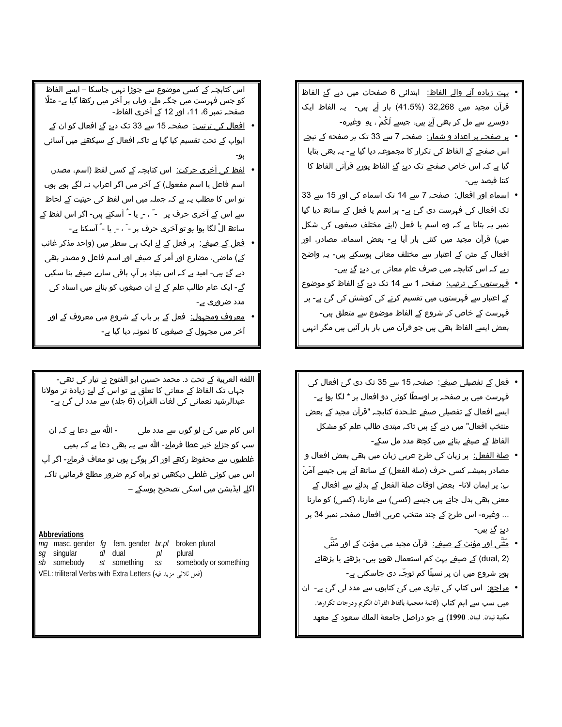- ∙ ی<u>ہت زیادہ آنے والے الفاظ:</u> ابتدائی 6 صفحات میں دیے گۓ الفاظ قرآن مجید میں 32,268 (%41.5) بار آے ہیں۔ یہ الفاظ ایک دوسرے سے مل کر بھی آۓ ہیں، جیسے لَکُمْ ، بِهِ ۖ وغیرہ۔
- <mark>• پر صفحہ پر اعداد و شمار:</mark> صفحہ 7 سے 33 تک ہر صفحه کے نیچے اس صفحے کے الفاظ کی تکرار کا مجموعہ دیا گیا ہے۔ یہ بھی بتایا گیا ہے کہ اس خاص صفحے تک دیۓ گۓ الفاظ پورے قرآنی الفاظ کا کتنا فیصد ہیں۔
- ا<u>سماء اور افعال:</u> صفحہ 7 سے 14 تک اسماء کی اور 15 سے 33 تک افعال کی فہرست دی گئ ہے۔ ہر اسم یا فعل کے ساتھ دیا گیا نمبر یہ بتاتا ہے کہ وہ اسم یا فعل (اپنے مختلف صیغوں کی شکل میں) قرآن مجید میں کتنی بار آیا ہے- بعض اسماء، مصادر، اور افعال کے متن کے اعتبار سے مختلف معانی ہوسکتے ہیں۔ یہ واضح رہے کہ اس کتابچہ میں صرف عام معانی ہی دیۓ گۓ ہیں۔
- فِہرِستوں کی ترتیب: صفحہ 1 سے 14 تک دیۓ گۓ الفاظ کو موضوع کے اعتبار سے فہرستوں میں تقسیم کرنے کی کوشش کی گئ ہے۔ ہر فہرست کے خاص کر شروع کے الفاظ موضوع سے متعلق ہیں۔ بعض ایسے الفاظ بھی ہیں جو قرآن میں بار بار آئیں ہیں مگر انہیں
- فع<u>ل کے تفصیلی صیغے:</u> صفحہ 15 سے 35 تک دی گئ افعال کی فہرست میں ہر صفحہ پر اوسطًا کوئی دو افعال پر \* لگا ہوا ہے۔ ایسے افعال کے تفصیلی صیغے علـحدۃ کتابچہ "قرآن مجید کے بعض منتخب افعال" میں دیے گۓ ہیں تاکہ مبتدی طالب علم کو مشکل الفاظ کے صیغے بنانے میں کچھ مدد مل سکے-
- <u>صلة الفعل:</u> ہر زبان کی طرح عربی زبان میں بھی بعض افعال و مصادر ہمیشہ کسی حرف (صلة الفعل) کے ساتھ آتے ہیں جیسے آمَنَ پِ: پر ایمان لانا- بعض اوقات صلة الفعل کے بدلنے سے افعال کے معنی بھی بدل جاتے ہیں جیسے (کسی) سے مارنا، (کسی) کو مارنا ... وغیرہ۔ اس طرح کے چند منتخب عربی افعال صفحہ نمبر 34 پر دیۓ گۓ ہیں۔
	- <u>مُثَنّى اور مؤنث كے صيغے:</u> قرآن مجيد ميں مؤنث كے اور مُثَنّى (dual, 2) کے صیغے بہت کم استعمال ھوۓ ہیں۔ پڑھتے یا پڑھاتے ہوۓ شروع میں ان پر نسبتًا کم توجّہ دی جاسکتی ہے۔
- <u>مراجع:</u> اس کتاب کی تیاری میں کئ کتابوں سے مدد لی گئ ہے۔ ان میں ىسب ىسے اہم كتاب (قائمة معجمية بألفاظ القرآن الكريم ودرجات تكرارها. مکتبة لبنان. لبنان. 1990) ہے جو دراصل جامعة الملك سعود کے معهد

اس کتابچہ کے کسی موضوع سے جوڑا نہیں جاسکا – ایسے الفاظ کو جس فہرست میں جگہ ملے، وہاں پر آخر میں رکھا گیا ہے۔ مثلًا صفحہ نمبر 6، 11، اور 12 کے آخری الفاظ۔

- <u>افعال کی ترتیب:</u> صفحہ 15 سے 33 تک دیۓ گۓ افعال کو ان کے ابواب کے تحت تقسیم کیا گیا ہے تاکہ افعال کے سیکھنے میں آسانی
- <u>لفظ کی آخری حرکت:</u> اس کتابچہ کے کسی لفظ (اسم، مصدر، اسم فاعل یا اسم مفعول) کے آخر میں اگر اعراب نہ لگے ہوے ہوں تو اس کا مطلب یہ ہے کہ جملہ میں اس لفظ کی حیثیت کے لحاظ سے اس کے آخری حرف پر ِ ۔ ً ، ۔ ٍ یا ۔ ّ آسکتے ہیں۔ اگر اس لفظ کے ساتھ الْ لگا ہوا ہو تو آخری حرف پر - َ ، - ِ یا - ُ آسکتا ہے-
- فعل کے <u>صیغے:</u> ہر فعل کے لۓ ایک ہی سطر میں (واحد مذکر غائب کے) ماضی، مضارع اور أمر کے صیغے اور اسم فاعل و مصدر بھی دیے گۓ ہیں۔ امید ہے کہ اس بنیاد پر آپ باقی سارے صیغے بنا سکیں گے۔ ایک عام طالب علم کے لۓ ان صیغوں کو بنانے میں استاد کی مدد ضروری ہے۔
	- <u>معروف ومجہول:</u> فعل کے ہر باب کے شروع میں معروف کے اور آخر میں مجہول کے صیغوں کا نمونہ دیا گیا ہے۔

اللغة العربية كے تحت د. محمد حسين ابو الفتوح نے تيار كى تھى۔ جہاں تک الفاظ کے معانی کا تعلق ہے تو اس کے لیۓ زیادۃ تر مولانا عبدالرشید نعمانی کی لغات القرآن (6 جلد) سے مدد لی گئ ہے۔

۔ الله سے دعا ہے کہ ان اس کام میں کئ لو گوں سے مدد ملی سب کو جزاۓ خیر عطا فرماۓ۔ الله سے یہ بھی دعا ہے کہ ہمیں غلطیوں سے محفوظ رکھے اور اگر ہوگئ ہوں تو معاف فرماۓ- اگر آپ اس میں کوئی غلطی دیکھیں تو براہ کرم ضرور مطلع فرمائیں تاکہ اگلے ایڈیشن میں اسکی تصحیح ہوسکے –

## **Abbreviations**

mg masc. gender fg fem. gender br.pl broken plural sg singular dl dual plural pl somebody or something sb somebody st something  $SS$ VEL: triliteral Verbs with Extra Letters (فعل ثلاثى مزيد فيه)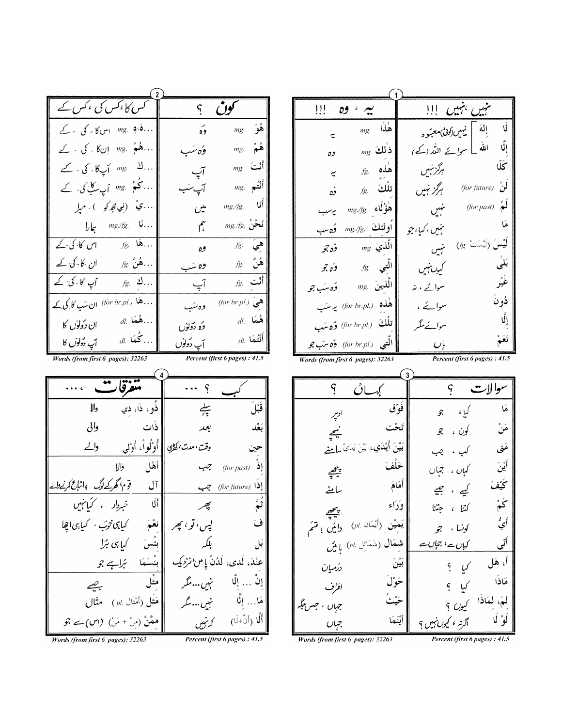| س کا ،کس کی ،کس کے                                                  | کون<br>$\zeta$                                    |  |  |  |
|---------------------------------------------------------------------|---------------------------------------------------|--|--|--|
| $\phi$ . $\phi$<br>$\geq -\delta$ س کا ۔ گی ۔ گے $\mu$              | $mg$ هُوَ<br>وه                                   |  |  |  |
| هُمْ mg. إنكا كر كي . كے                                            | ۿمٌ<br>mg.<br>وگەنئىد                             |  |  |  |
| ڭ mg. أپىكا. كى . كے                                                | $_{mg.}$ أَلْت<br>آپ                              |  |  |  |
| ئخم ْ بِهِ هِ mg أَي سكَّ كی کے                                     | $_{mg.}$ أَنْتُم<br>آپىئب                         |  |  |  |
| ي <sup>ف</sup> (نوپ <i>ېڅو</i> کو ) <i>. م</i> ېله                  | أنَا<br>mg./fg.<br>میں                            |  |  |  |
| نَا .mg./fg. بِهَارا .                                              | $_{mg./fg.}$ نَحْنُ<br>مهم                        |  |  |  |
| $fg.$ هَا<br>اس کا کی کے                                            | هيؔ<br>fg.<br>وه                                  |  |  |  |
| هُنَّ $g$ ( ان کالی کے کے $\ldots$                                  | $f$ هُنَّ $f$<br>وه سَب                           |  |  |  |
| آپ کا کی کے<br>$fg$ . گ                                             | $_{fg.}$ أَنْت<br>آپ                              |  |  |  |
| .هَا (.for br.pl/ ان سَبِ کا کِی کِے                                | هيَ (for br.pl.)<br>وهسَب                         |  |  |  |
| <i> هُمَا .ال</i><br>ان دُولوْں کا                                  | هُمَا . <i>al.</i><br>وُه دَولوْں                 |  |  |  |
| <i> كُمَا .ال</i><br>أپ دُولوں کا                                   | أَتْتُمَا .ll<br>آپ دُولوں                        |  |  |  |
| Percent (first 6 pages) : 41.5<br>Words (from first 6 pages): 32263 |                                                   |  |  |  |
|                                                                     |                                                   |  |  |  |
| تتغرقار                                                             |                                                   |  |  |  |
| ذَو، ذَا، ذي<br>دالا                                                | قَبْلَ<br>يبيم                                    |  |  |  |
| ذَات<br>والى                                                        | بَعْد<br>بعد                                      |  |  |  |
| أَوْلُواْ، أَوْلي<br>وللے                                           | وقت، مدت، کھڑی  <br>حين                           |  |  |  |
| أهْل<br>والا                                                        | $(for\, past)$ إِذ<br>جب                          |  |  |  |
| قوم گھرکے لوگ پاتاع کرنے والے<br>آل                                 | إفرا (for future) ج                               |  |  |  |
| ألا<br>خبردار ، کیانہیں                                             | بيجر                                              |  |  |  |
| کیاہی تربّ ، کیاہی اچلا                                             | لپس، تو ، پھ                                      |  |  |  |
| کیا ہی بڑا                                                          | بلکہ<br>بَل                                       |  |  |  |
| بُراہے جو                                                           | عنْدَ، لَدى، لَدُنْ <sub>ي</sub> اس <i>انزديك</i> |  |  |  |
| مثُل<br>بييم                                                        | إنْ  إِلَّا<br>نہیںمگر                            |  |  |  |
| مَثَل (أَمْنَال pl. ) مثال                                          | مَا… إلَّا<br>-<br>نہیں  مگر                      |  |  |  |
| ہمَّنْ (منْ + مَنْ) (اس)سے جو                                       | أَلَّا (أَنْ+لَا)<br>كەنبىيں                      |  |  |  |
|                                                                     |                                                   |  |  |  |

| !!!<br>سیم ،<br>09                                                  | تن بہیں ہمیں !!!<br>مہیں <i>ہمی</i> ں |  |  |  |
|---------------------------------------------------------------------|---------------------------------------|--|--|--|
| $mg$ فَذَا<br>$\tilde{\cdot}$                                       | Ú<br>إلهَ   يهيں دُونی معبّود         |  |  |  |
| $mg$ ذٰلك<br>وه                                                     | الٌا<br>الله<br>سوائے اللہ (کے)       |  |  |  |
| $f$ هنده $g$<br>$\tilde{\mathbf{r}}$                                | ػۜڵ<br>هرگز بنيں                      |  |  |  |
| $f$ تلْكَ $f$<br>ؤە                                                 | لُوْ (for future)<br>ېرگز ښېن         |  |  |  |
| $mg./fg$ هُؤُلَاء<br>ىيەسىب                                         | لەُ<br>(for past)<br>تهنين            |  |  |  |
| اولئك <sub>.mg./fg</sub><br>وَه سب                                  | ھَا<br>ېنىن ، كىيا، جو                |  |  |  |
| $_{mg}$ الّذي<br>وًه جو                                             | لَيْسَ (لَيْسَتْ .fg<br>نہیں          |  |  |  |
| $f$ الَّتي $f$<br>وڻ جو                                             | بَلِّي<br>کیږ ښمیں                    |  |  |  |
| $\eta_{mg}$ ، الَّذين<br>وَه سَڀ جو                                 | غَيْر<br>سوائے ، پنر                  |  |  |  |
| هذه (for br.pl.) يه سبَب                                            | دُونَ<br>سوائے ،                      |  |  |  |
| تلْكَ   (for br.pl.) وَهِ سَب                                       | الٌا<br>سوائے ملکہ                    |  |  |  |
| التبي (.for br.pl) وُه سَب جو                                       | باں                                   |  |  |  |
| Percent (first 6 pages) : 41.5<br>Words (from first 6 pages): 32263 |                                       |  |  |  |
| سوالات<br>ركەسان                                                    |                                       |  |  |  |
|                                                                     | فَوْق<br>هَا                          |  |  |  |

| فَوْق<br>ادبير               | مَا<br>کیا ،<br>$\mathscr{F}$ |
|------------------------------|-------------------------------|
| تَحْت                        | مَنْ                          |
| بنعج                         | کون ، جو                      |
| بَيْنَ أَيْدَي               | کب ، چب                       |
| بَيْنَ يَدَيْ سِلْمِعْ       | مَق                           |
| خَلْفَ                       | أينَ                          |
| $\frac{1}{2}$                | کباں ، جہاں                   |
| أَهَامَ                      | كَيْفَ                        |
| ساحنے                        | کیے ، چیچ                     |
| وَرَاء                       | ݣُمْ                          |
| $\frac{1}{\sigma}$           | كتنا ، جتنا                   |
| يَميْنِ (أَيْمَان (pl.       | أَيُّ                         |
| دایں ، متئم                  | كونسا ، جو                    |
| شمَال (شَمَائِل pl. ) يا يُن | أٽي<br>کہاں سے ' جہاں سے      |
| ؠؘؿۨؗنؘ                      | اً، هَل                       |
| درُمیان                      | کیا ؟                         |
| حَوْلَ<br>اطرف               | مَاذَا<br>$\omega$<br>$\zeta$ |
| حَيْثُ<br>جس جگه<br>جباں ،   | لَمَ، لَمَاذَا<br>کیوں ؟      |
| يْنَمَا                      | لَوْ لَا                      |
| جہاں                         | اگرنه ، کیوں نہیں ؟           |

Words (from first 6 pages): 32263

Percent (first 6 pages) : 41.5

Words (from first 6 pages): 32263

Percent (first 6 pages) : 41.5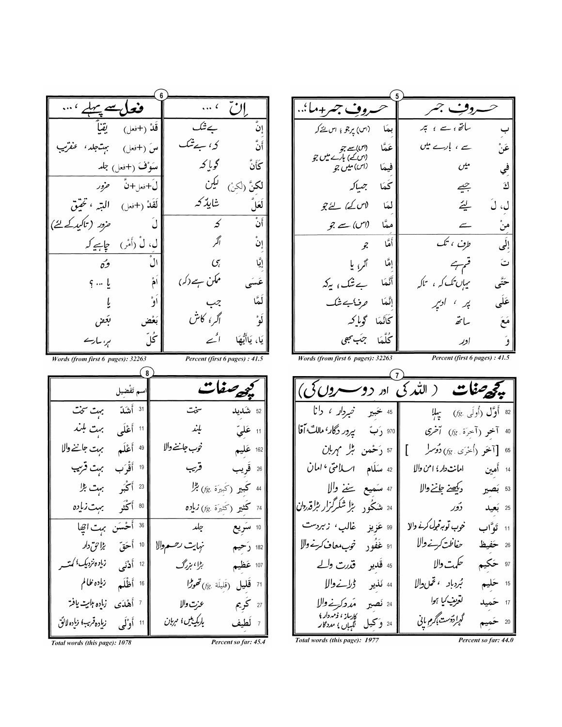إنّ مروفِ جمر  $\ldots$ وف جسر+ما'… ۔<br>قَلْہ (+فعل) حشک سائق ، سے ، تبر انٌ يقنأ (اس) يرجو ۽ اس <u>لئے کہ</u> بمَا کہ، ہے تیک سَ (+فعل) بهتاجلد، عنقرتب أَنّ (اس)سے جو<br>(اس کے) بارے میں جو<br>(اس) میں جو سے ، بارے میں عَنْ عَمَّا گويا كه سَوْفَ (+فعل) جلد<br>ل<del>َ+</del>فعل+نَّ ض*خور* ػۘٲڽۨٞ فيمَا  $\mathcal{C}^{\mathcal{L} \bullet}_{\pi}$ في **لكِنَّ** (لكِنْ) ل**ي***كِن* ىگە جىبل*ا* ك جييے شايذكه لاس کے) لئے جو لَعَلَ بيئه ل، نَ لمَا *حزور* (تاکید کے لئے)  $\overline{3}$ َّانٌ منْ<br>— لَ معًا (اس) سے جو  $\leftarrow$ أكمر طوف ، تک إِلَى إِنْ أَمَّا جو الٌ إمَّا ٱلرِّ، يا قہہے<br>میران تک کہ ، ساکہ وګه ت  $\mathcal{C}_{\zeta}$ ٳۑۜٞٳ ممکن ہے دکہ) عَسَى ځتًى أَنَّعا بِے تَنگ، *ي*كه أُمُّ  $9 - 1$ عَلَى إنَّمَا *وفاجش*َك لَعًا ېر ، ادبير أوْ جب<br>اگر <sup>۽</sup> کاش بَعْض كَانَّمَا گِراكِهِ أو° مَعَ بكفن سائقه ځلّ اکمے ہر، سارسے يَا، يَاأَيُّهَا كُلَّهَا جِهَبِ يجعى إدر Percent (first 6 pages) : 41.5 Words (from first 6 pages): 32263 Percent (first 6 pages) : 41.5 Words (from first 6 pages): 32263  $\sqrt{8}$ بي<u>ھ</u> صفات می<del>گ</del>ی مفات ( الله کی اور دو سروں کی) **م** تَفْضِيل <sup>31</sup> أَشَدّ بهت سَمَت سخت <sup>52</sup> شکیلا <sup>11</sup> أَعْلَى بہت بلند 40 آخو (آخِرَة *:g) آخرى ... || 9*70 رَبّ ي<sub>م</sub>و*ر دگار<sup>،</sup> مالكَّ أ*قّا يند 11 عَليّ | <sup>49</sup> أَعْلَم بہت جاننے والا خوب جلننے والا 162 عَليم <sup>65</sup> [آخَو (أُخرَى ج*)) دُوس*له ] || 57 رَحْمَن مَبْل مَهربا<u>ن</u> 19 أَقْرَب بِهِتْ قَرْيَب قرىپ امانت دار؛ امن والا مصل العالم من المسلم العالمي المان المسلم المسلم المسلم المسلم العالم العالم ال 26 قَريب 14 أَمين <sup>23</sup> أَكْبَر بهت <u>ال</u> 44 كَمبير (كَبيرَة *fg.) بثرًا* | <sup>80</sup> أكْتَو بهت *زباده* <sup>24</sup> م<sub>شن</sub>جُو<sub>د</sub> بڑا *شکر گزار بڑا قدردان*| 74 **كَثير (**كَثيرَة *fg*) **زياده** | <sup>36</sup> أَحْسَن بہت اتِھا 10 سَوِيع ∥ ‱ عَزِيز ً غالبِ، ز*بردست* 11 تَوَّاب  $\frac{1}{2}$ خوب توبہ قبول کرنے والا | 91 غَفُود خوب معاف *كرخ* والا حفاظت كرنے والا 26 حَفيظ حکمت والا<br>بُردباد <sup>،</sup> تحم<sub>ل</sub>والا 97 حَکيم |<br>| <sup>12</sup> أَ**دْ**نَى ن<sup>اب</sup>رەنزدىك<sup>؛</sup> كمتسە 107 عَظيم 45 قَدِيرِ قَدِرتِ وك بڑا ، ہزرگ 71 **قَليلَ** (قَليلَة ج*) تَحولُ*ا 15 حَلِي**َم**<br>17 حَمِيد 44 نَذير ڈِرائےوالا | 16 أَظْلَم زماده طالم لقرمينيكيا ہوا 27 كُويم <sup>24</sup> نصب<sub>د</sub> مرد کرنے والا<br>کارساز، ف<sup>ر</sup>مددار؛<br><sup>24</sup> و تحیل گ*اہ*اں؛ مددگار | 7 أَهْدَى زمادِه *بليت* يافتر عزت والا گړا<sub></sub> دوست <sub>باگرم بابی</sub> بارکمینین ؛ مربان زماده قرب وإده لائق | <sup>11</sup> أَوْلَى Total words (this page): 1977

Total words (this page): 1078

Percent so far: 45.4

Percent so far: 44.0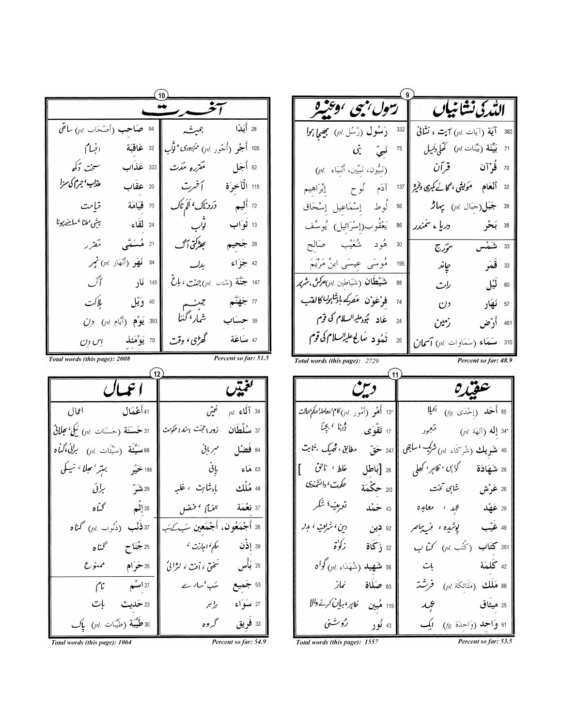Total words (this page): 1064

Percent so far: 54.9

Total words (this page): 1557

Percent so far: 53.5